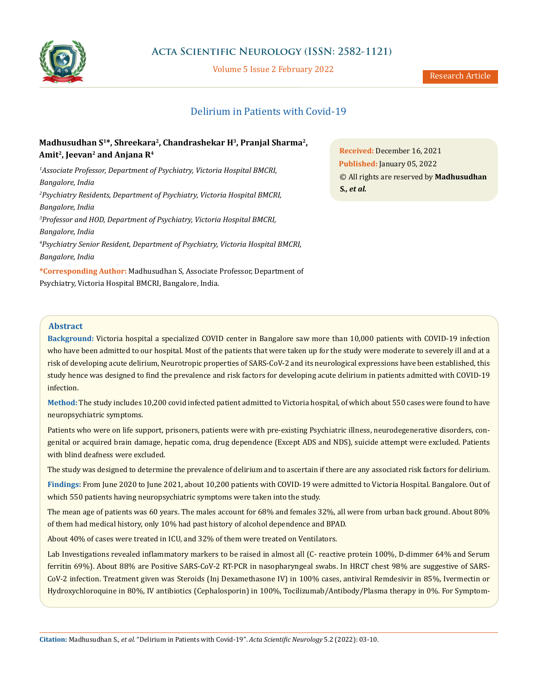

Volume 5 Issue 2 February 2022

# Delirium in Patients with Covid-19

# **Madhusudhan S1\*, Shreekara2, Chandrashekar H3, Pranjal Sharma2,**  Amit<sup>2</sup>, Jeevan<sup>2</sup> and Anjana R<sup>4</sup>

*1 Associate Professor, Department of Psychiatry, Victoria Hospital BMCRI, Bangalore, India 2 Psychiatry Residents, Department of Psychiatry, Victoria Hospital BMCRI, Bangalore, India 3 Professor and HOD, Department of Psychiatry, Victoria Hospital BMCRI, Bangalore, India 4 Psychiatry Senior Resident, Department of Psychiatry, Victoria Hospital BMCRI, Bangalore, India*

**\*Corresponding Author:** Madhusudhan S, Associate Professor, Department of Psychiatry, Victoria Hospital BMCRI, Bangalore, India.

**Received:** December 16, 2021 **Published:** January 05, 2022 © All rights are reserved by **Madhusudhan S***., et al.*

# **Abstract**

**Background:** Victoria hospital a specialized COVID center in Bangalore saw more than 10,000 patients with COVID-19 infection who have been admitted to our hospital. Most of the patients that were taken up for the study were moderate to severely ill and at a risk of developing acute delirium, Neurotropic properties of SARS-CoV-2 and its neurological expressions have been established, this study hence was designed to find the prevalence and risk factors for developing acute delirium in patients admitted with COVID-19 infection.

**Method:** The study includes 10,200 covid infected patient admitted to Victoria hospital, of which about 550 cases were found to have neuropsychiatric symptoms.

Patients who were on life support, prisoners, patients were with pre-existing Psychiatric illness, neurodegenerative disorders, congenital or acquired brain damage, hepatic coma, drug dependence (Except ADS and NDS), suicide attempt were excluded. Patients with blind deafness were excluded.

The study was designed to determine the prevalence of delirium and to ascertain if there are any associated risk factors for delirium.

**Findings:** From June 2020 to June 2021, about 10,200 patients with COVID-19 were admitted to Victoria Hospital. Bangalore. Out of which 550 patients having neuropsychiatric symptoms were taken into the study.

The mean age of patients was 60 years. The males account for 68% and females 32%, all were from urban back ground. About 80% of them had medical history, only 10% had past history of alcohol dependence and BPAD.

About 40% of cases were treated in ICU, and 32% of them were treated on Ventilators.

Lab Investigations revealed inflammatory markers to be raised in almost all (C- reactive protein 100%, D-dimmer 64% and Serum ferritin 69%). About 88% are Positive SARS-CoV-2 RT-PCR in nasopharyngeal swabs. In HRCT chest 98% are suggestive of SARS-CoV-2 infection. Treatment given was Steroids (Inj Dexamethasone IV) in 100% cases, antiviral Remdesivir in 85%, Ivermectin or Hydroxychloroquine in 80%, IV antibiotics (Cephalosporin) in 100%, Tocilizumab/Antibody/Plasma therapy in 0%. For Symptom-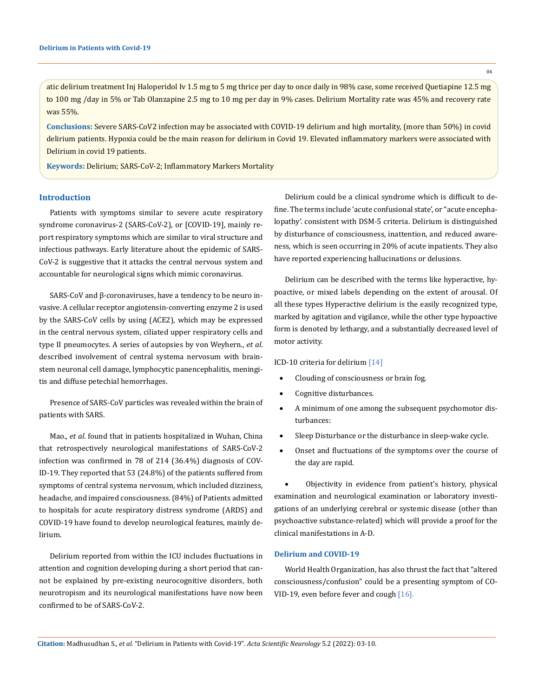$04$ 

atic delirium treatment Inj Haloperidol Iv 1.5 mg to 5 mg thrice per day to once daily in 98% case, some received Quetiapine 12.5 mg to 100 mg /day in 5% or Tab Olanzapine 2.5 mg to 10 mg per day in 9% cases. Delirium Mortality rate was 45% and recovery rate was 55%.

**Conclusions:** Severe SARS-CoV2 infection may be associated with COVID-19 delirium and high mortality, (more than 50%) in covid delirium patients. Hypoxia could be the main reason for delirium in Covid 19. Elevated inflammatory markers were associated with Delirium in covid 19 patients.

**Keywords:** Delirium; SARS-CoV-2; Inflammatory Markers Mortality

#### **Introduction**

Patients with symptoms similar to severe acute respiratory syndrome coronavirus-2 (SARS-CoV-2), or [COVID-19], mainly report respiratory symptoms which are similar to viral structure and infectious pathways. Early literature about the epidemic of SARS-CoV-2 is suggestive that it attacks the central nervous system and accountable for neurological signs which mimic coronavirus.

SARS-CoV and β-coronaviruses, have a tendency to be neuro invasive. A cellular receptor angiotensin-converting enzyme 2 is used by the SARS-CoV cells by using (ACE2), which may be expressed in the central nervous system, ciliated upper respiratory cells and type II pneumocytes. A series of autopsies by von Weyhern., *et al*. described involvement of central systema nervosum with brainstem neuronal cell damage, lymphocytic panencephalitis, meningitis and diffuse petechial hemorrhages.

Presence of SARS-CoV particles was revealed within the brain of patients with SARS.

Mao., *et al*. found that in patients hospitalized in Wuhan, China that retrospectively neurological manifestations of SARS-CoV-2 infection was confirmed in 78 of 214 (36.4%) diagnosis of COV-ID-19. They reported that 53 (24.8%) of the patients suffered from symptoms of central systema nervosum, which included dizziness, headache, and impaired consciousness. (84%) of Patients admitted to hospitals for acute respiratory distress syndrome (ARDS) and COVID-19 have found to develop neurological features, mainly delirium.

Delirium reported from within the ICU includes fluctuations in attention and cognition developing during a short period that cannot be explained by pre-existing neurocognitive disorders, both neurotropism and its neurological manifestations have now been confirmed to be of SARS-CoV-2.

Delirium could be a clinical syndrome which is difficult to define. The terms include 'acute confusional state', or "acute encephalopathy'. consistent with DSM-5 criteria. Delirium is distinguished by disturbance of consciousness, inattention, and reduced awareness, which is seen occurring in 20% of acute inpatients. They also have reported experiencing hallucinations or delusions.

Delirium can be described with the terms like hyperactive, hypoactive, or mixed labels depending on the extent of arousal. Of all these types Hyperactive delirium is the easily recognized type, marked by agitation and vigilance, while the other type hypoactive form is denoted by lethargy, and a substantially decreased level of motor activity.

ICD-10 criteria for delirium [14]

- Clouding of consciousness or brain fog.
- Cognitive disturbances.
- A minimum of one among the subsequent psychomotor disturbances:
- Sleep Disturbance or the disturbance in sleep-wake cycle.
- Onset and fluctuations of the symptoms over the course of the day are rapid.

Objectivity in evidence from patient's history, physical examination and neurological examination or laboratory investigations of an underlying cerebral or systemic disease (other than psychoactive substance-related) which will provide a proof for the clinical manifestations in A-D.

## **Delirium and COVID‑19**

World Health Organization, has also thrust the fact that "altered consciousness/confusion" could be a presenting symptom of CO-VID-19, even before fever and cough [16].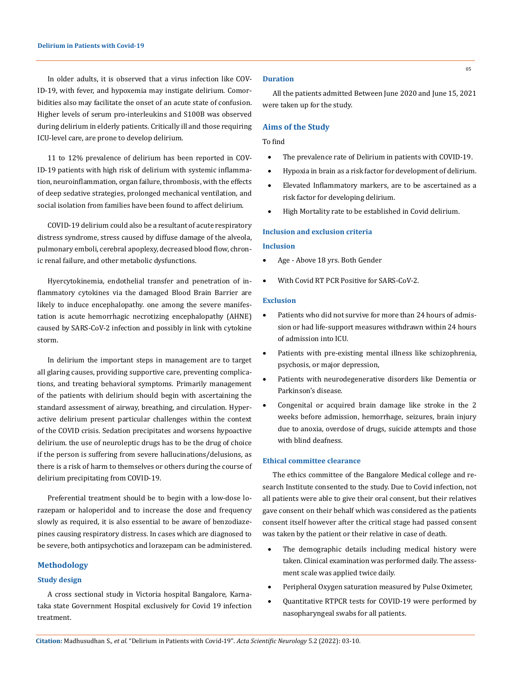In older adults, it is observed that a virus infection like COV-ID-19, with fever, and hypoxemia may instigate delirium. Comorbidities also may facilitate the onset of an acute state of confusion. Higher levels of serum pro-interleukins and S100B was observed during delirium in elderly patients. Critically ill and those requiring ICU-level care, are prone to develop delirium.

11 to 12% prevalence of delirium has been reported in COV-ID-19 patients with high risk of delirium with systemic inflammation, neuroinflammation, organ failure, thrombosis, with the effects of deep sedative strategies, prolonged mechanical ventilation, and social isolation from families have been found to affect delirium.

COVID-19 delirium could also be a resultant of acute respiratory distress syndrome, stress caused by diffuse damage of the alveola, pulmonary emboli, cerebral apoplexy, decreased blood flow, chronic renal failure, and other metabolic dysfunctions.

Hyercytokinemia, endothelial transfer and penetration of inflammatory cytokines via the damaged Blood Brain Barrier are likely to induce encephalopathy. one among the severe manifestation is acute hemorrhagic necrotizing encephalopathy (AHNE) caused by SARS-CoV-2 infection and possibly in link with cytokine storm.

In delirium the important steps in management are to target all glaring causes, providing supportive care, preventing complications, and treating behavioral symptoms. Primarily management of the patients with delirium should begin with ascertaining the standard assessment of airway, breathing, and circulation. Hyperactive delirium present particular challenges within the context of the COVID crisis. Sedation precipitates and worsens hypoactive delirium. the use of neuroleptic drugs has to be the drug of choice if the person is suffering from severe hallucinations/delusions, as there is a risk of harm to themselves or others during the course of delirium precipitating from COVID-19.

Preferential treatment should be to begin with a low-dose lorazepam or haloperidol and to increase the dose and frequency slowly as required, it is also essential to be aware of benzodiazepines causing respiratory distress. In cases which are diagnosed to be severe, both antipsychotics and lorazepam can be administered.

## **Methodology**

### **Study design**

A cross sectional study in Victoria hospital Bangalore, Karnataka state Government Hospital exclusively for Covid 19 infection treatment.

#### **Duration**

All the patients admitted Between June 2020 and June 15, 2021 were taken up for the study.

#### **Aims of the Study**

### To find

- The prevalence rate of Delirium in patients with COVID-19.
- Hypoxia in brain as a risk factor for development of delirium.
- Elevated Inflammatory markers, are to be ascertained as a risk factor for developing delirium.
- High Mortality rate to be established in Covid delirium.

#### **Inclusion and exclusion criteria**

#### **Inclusion**

- Age Above 18 yrs. Both Gender
- With Covid RT PCR Positive for SARS-CoV-2.

#### **Exclusion**

- Patients who did not survive for more than 24 hours of admission or had life-support measures withdrawn within 24 hours of admission into ICU.
- Patients with pre-existing mental illness like schizophrenia, psychosis, or major depression,
- Patients with neurodegenerative disorders like Dementia or Parkinson's disease.
- • Congenital or acquired brain damage like stroke in the 2 weeks before admission, hemorrhage, seizures, brain injury due to anoxia, overdose of drugs, suicide attempts and those with blind deafness.

## **Ethical committee clearance**

The ethics committee of the Bangalore Medical college and research Institute consented to the study. Due to Covid infection, not all patients were able to give their oral consent, but their relatives gave consent on their behalf which was considered as the patients consent itself however after the critical stage had passed consent was taken by the patient or their relative in case of death.

- The demographic details including medical history were taken. Clinical examination was performed daily. The assessment scale was applied twice daily.
- Peripheral Oxygen saturation measured by Pulse Oximeter,
- Quantitative RTPCR tests for COVID-19 were performed by nasopharyngeal swabs for all patients.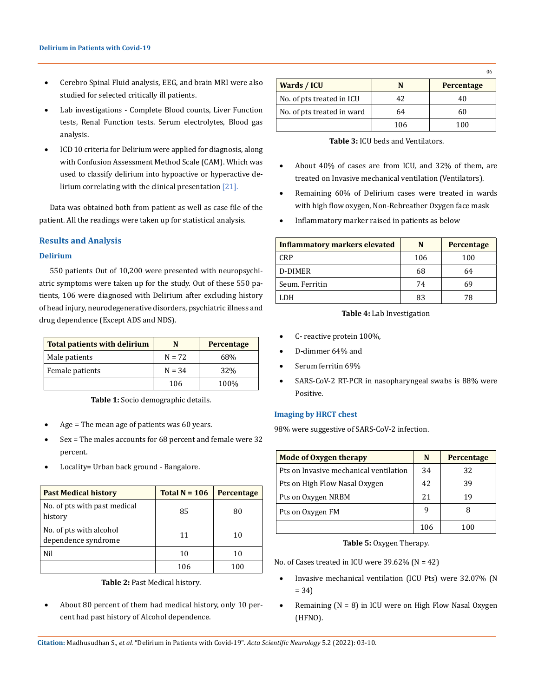- Cerebro Spinal Fluid analysis, EEG, and brain MRI were also studied for selected critically ill patients.
- Lab investigations Complete Blood counts, Liver Function tests, Renal Function tests. Serum electrolytes, Blood gas analysis.
- ICD 10 criteria for Delirium were applied for diagnosis, along with Confusion Assessment Method Scale (CAM). Which was used to classify delirium into hypoactive or hyperactive delirium correlating with the clinical presentation [21].

Data was obtained both from patient as well as case file of the patient. All the readings were taken up for statistical analysis.

## **Results and Analysis**

## **Delirium**

550 patients Out of 10,200 were presented with neuropsychiatric symptoms were taken up for the study. Out of these 550 patients, 106 were diagnosed with Delirium after excluding history of head injury, neurodegenerative disorders, psychiatric illness and drug dependence (Except ADS and NDS).

| <b>Total patients with delirium</b> | N        | Percentage |
|-------------------------------------|----------|------------|
| Male patients                       | $N = 72$ | 68%        |
| Female patients                     | $N = 34$ | 32%        |
|                                     | 106      | 100%       |

**Table 1:** Socio demographic details.

- Age  $=$  The mean age of patients was 60 years.
- $Sex$  = The males accounts for 68 percent and female were 32 percent.
- Locality= Urban back ground Bangalore.

| <b>Past Medical history</b>                    | Total $N = 106$ | Percentage |
|------------------------------------------------|-----------------|------------|
| No. of pts with past medical<br>history        | 85              | 80         |
| No. of pts with alcohol<br>dependence syndrome | 11              | 10         |
| Nil                                            | 10              | 10         |
|                                                | 106             | 100        |

**Table 2:** Past Medical history.

About 80 percent of them had medical history, only 10 percent had past history of Alcohol dependence.

| Wards / ICU                |     | Percentage |
|----------------------------|-----|------------|
| No. of pts treated in ICU  | 42  | 40         |
| No. of pts treated in ward | 64  | 60         |
|                            | 106 | 100        |

**Table 3:** ICU beds and Ventilators.

- About  $40\%$  of cases are from ICU, and  $32\%$  of them, are treated on Invasive mechanical ventilation (Ventilators).
- • Remaining 60% of Delirium cases were treated in wards with high flow oxygen, Non-Rebreather Oxygen face mask
- Inflammatory marker raised in patients as below

| <b>Inflammatory markers elevated</b> | N   | Percentage |
|--------------------------------------|-----|------------|
| <b>CRP</b>                           | 106 | 100        |
| D-DIMER                              | 68  | 64         |
| Seum. Ferritin                       | 74  | 69         |
| LDH                                  | 83  |            |

#### **Table 4:** Lab Investigation

- C- reactive protein 100%.
- D-dimmer 64% and
- Serum ferritin 69%
- SARS-CoV-2 RT-PCR in nasopharyngeal swabs is 88% were Positive.

#### **Imaging by HRCT chest**

98% were suggestive of SARS-CoV-2 infection.

| <b>Mode of Oxygen therapy</b>          | N   | Percentage |
|----------------------------------------|-----|------------|
| Pts on Invasive mechanical ventilation | 34  | 32         |
| Pts on High Flow Nasal Oxygen          | 42  | 39         |
| Pts on Oxygen NRBM                     | 2.1 | 19         |
| Pts on Oxygen FM                       |     |            |
|                                        | 106 | 100        |

**Table 5:** Oxygen Therapy.

No. of Cases treated in ICU were  $39.62\%$  (N = 42)

- Invasive mechanical ventilation (ICU Pts) were 32.07% (N = 34)
- Remaining ( $N = 8$ ) in ICU were on High Flow Nasal Oxygen (HFNO).

**Citation:** Madhusudhan S*., et al.* "Delirium in Patients with Covid-19". *Acta Scientific Neurology* 5.2 (2022): 03-10.

 $06$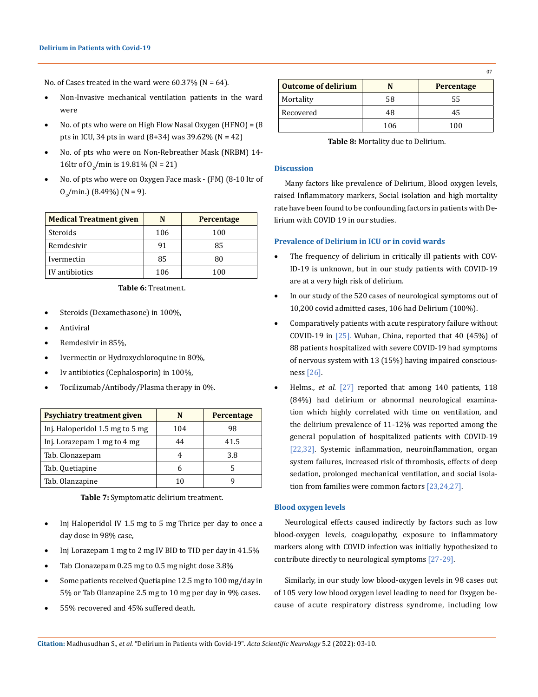No. of Cases treated in the ward were  $60.37\%$  (N = 64).

- Non-Invasive mechanical ventilation patients in the ward were
- No. of pts who were on High Flow Nasal Oxygen (HFNO) =  $(8$ pts in ICU, 34 pts in ward  $(8+34)$  was 39.62%  $(N = 42)$
- No. of pts who were on Non-Rebreather Mask (NRBM) 14-16ltr of  $O_2$ /min is 19.81% (N = 21)
- No. of pts who were on Oxygen Face mask (FM) (8-10 ltr of  $O_2$ /min.) (8.49%) (N = 9).

| <b>Medical Treatment given</b> | N   | <b>Percentage</b> |
|--------------------------------|-----|-------------------|
| Steroids                       | 106 | 100               |
| Remdesivir                     | 91  | 85                |
| Ivermectin                     | 85  | 80                |
| IV antibiotics                 | 106 | 100               |

# **Table 6:** Treatment.

- Steroids (Dexamethasone) in 100%,
- **Antiviral**
- Remdesivir in 85%.
- Ivermectin or Hydroxychloroquine in 80%,
- Iv antibiotics (Cephalosporin) in 100%,
- Tocilizumab/Antibody/Plasma therapy in 0%.

| <b>Psychiatry treatment given</b> |     | <b>Percentage</b> |
|-----------------------------------|-----|-------------------|
| Inj. Haloperidol 1.5 mg to 5 mg   | 104 | 98                |
| Inj. Lorazepam 1 mg to 4 mg       | 44  | 41.5              |
| Tab. Clonazepam                   |     | 3.8               |
| Tab. Quetiapine                   |     |                   |
| Tab. Olanzapine                   |     |                   |

**Table 7:** Symptomatic delirium treatment.

- Inj Haloperidol IV 1.5 mg to 5 mg Thrice per day to once a day dose in 98% case,
- Inj Lorazepam 1 mg to 2 mg IV BID to TID per day in  $41.5\%$
- Tab Clonazepam 0.25 mg to 0.5 mg night dose 3.8%
- Some patients received Quetiapine 12.5 mg to 100 mg/day in 5% or Tab Olanzapine 2.5 mg to 10 mg per day in 9% cases.
- 55% recovered and 45% suffered death.

| <b>Outcome of delirium</b> |     | <b>Percentage</b> |
|----------------------------|-----|-------------------|
| Mortality                  | 58  | 55                |
| Recovered                  | 48  | 45                |
|                            | 106 | 100               |

**Table 8:** Mortality due to Delirium.

## **Discussion**

Many factors like prevalence of Delirium, Blood oxygen levels, raised Inflammatory markers, Social isolation and high mortality rate have been found to be confounding factors in patients with Delirium with COVID 19 in our studies.

#### **Prevalence of Delirium in ICU or in covid wards**

- The frequency of delirium in critically ill patients with COV-ID-19 is unknown, but in our study patients with COVID-19 are at a very high risk of delirium.
- In our study of the 520 cases of neurological symptoms out of 10,200 covid admitted cases, 106 had Delirium (100%).
- Comparatively patients with acute respiratory failure without COVID-19 in  $[25]$ . Wuhan, China, reported that 40 (45%) of 88 patients hospitalized with severe COVID-19 had symptoms of nervous system with 13 (15%) having impaired consciousness [26].
- Helms., *et al.* [27] reported that among 140 patients, 118 (84%) had delirium or abnormal neurological examination which highly correlated with time on ventilation, and the delirium prevalence of 11-12% was reported among the general population of hospitalized patients with COVID-19 [22,32]. Systemic inflammation, neuroinflammation, organ system failures, increased risk of thrombosis, effects of deep sedation, prolonged mechanical ventilation, and social isolation from families were common factors [23,24,27].

## **Blood oxygen levels**

Neurological effects caused indirectly by factors such as low blood-oxygen levels, coagulopathy, exposure to inflammatory markers along with COVID infection was initially hypothesized to contribute directly to neurological symptoms [27-29].

Similarly, in our study low blood-oxygen levels in 98 cases out of 105 very low blood oxygen level leading to need for Oxygen because of acute respiratory distress syndrome, including low

07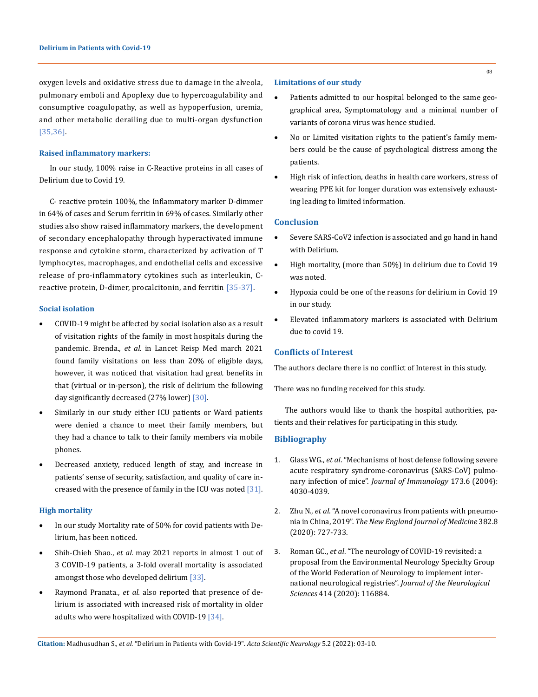oxygen levels and oxidative stress due to damage in the alveola, pulmonary emboli and Apoplexy due to hypercoagulability and consumptive coagulopathy, as well as hypoperfusion, uremia, and other metabolic derailing due to multi-organ dysfunction [35,36].

#### **Raised inflammatory markers:**

In our study, 100% raise in C-Reactive proteins in all cases of Delirium due to Covid 19.

C- reactive protein 100%, the Inflammatory marker D-dimmer in 64% of cases and Serum ferritin in 69% of cases. Similarly other studies also show raised inflammatory markers, the development of secondary encephalopathy through hyperactivated immune response and cytokine storm, characterized by activation of T lymphocytes, macrophages, and endothelial cells and excessive release of pro-inflammatory cytokines such as interleukin, Creactive protein, D-dimer, procalcitonin, and ferritin [35-37].

#### **Social isolation**

- COVID-19 might be affected by social isolation also as a result of visitation rights of the family in most hospitals during the pandemic. Brenda., *et al.* in Lancet Reisp Med march 2021 found family visitations on less than 20% of eligible days, however, it was noticed that visitation had great benefits in that (virtual or in-person), the risk of delirium the following day significantly decreased (27% lower) [30].
- Similarly in our study either ICU patients or Ward patients were denied a chance to meet their family members, but they had a chance to talk to their family members via mobile phones.
- Decreased anxiety, reduced length of stay, and increase in patients' sense of security, satisfaction, and quality of care increased with the presence of family in the ICU was noted [31].

#### **High mortality**

- In our study Mortality rate of 50% for covid patients with Delirium, has been noticed.
- [Shih-Chieh Shao.](https://pubmed.ncbi.nlm.nih.gov/?term=Shao+SC&cauthor_id=33984129), *et al.* may 2021 reports in almost 1 out of 3 COVID-19 patients, a 3-fold overall mortality is associated amongst those who developed delirium [33].
- Raymond Pranata., *et al.* also reported that presence of delirium is associated with increased risk of mortality in older adults who were hospitalized with COVID-19 [34].

### **Limitations of our study**

- Patients admitted to our hospital belonged to the same geographical area, Symptomatology and a minimal number of variants of corona virus was hence studied.
- No or Limited visitation rights to the patient's family members could be the cause of psychological distress among the patients.
- High risk of infection, deaths in health care workers, stress of wearing PPE kit for longer duration was extensively exhausting leading to limited information.

## **Conclusion**

- Severe SARS-CoV2 infection is associated and go hand in hand with Delirium.
- High mortality, (more than 50%) in delirium due to Covid 19 was noted.
- Hypoxia could be one of the reasons for delirium in Covid 19 in our study.
- Elevated inflammatory markers is associated with Delirium due to covid 19.

## **Conflicts of Interest**

The authors declare there is no conflict of Interest in this study.

There was no funding received for this study.

The authors would like to thank the hospital authorities, patients and their relatives for participating in this study.

## **Bibliography**

- 1. Glass WG., *et al*[. "Mechanisms of host defense following severe](https://pubmed.ncbi.nlm.nih.gov/15356152/)  [acute respiratory syndrome-coronavirus \(SARS-CoV\) pulmo](https://pubmed.ncbi.nlm.nih.gov/15356152/)nary infection of mice". *[Journal of Immunology](https://pubmed.ncbi.nlm.nih.gov/15356152/)* 173.6 (2004): [4030-4039.](https://pubmed.ncbi.nlm.nih.gov/15356152/)
- 2. Zhu N., *et al*[. "A novel coronavirus from patients with pneumo](https://pubmed.ncbi.nlm.nih.gov/31978945/)nia in China, 2019". *[The New England Journal of Medicine](https://pubmed.ncbi.nlm.nih.gov/31978945/)* 382.8 [\(2020\): 727-733.](https://pubmed.ncbi.nlm.nih.gov/31978945/)
- 3. Roman GC., *et al*[. "The neurology of COVID-19 revisited: a](https://pubmed.ncbi.nlm.nih.gov/32464367/)  [proposal from the Environmental Neurology Specialty Group](https://pubmed.ncbi.nlm.nih.gov/32464367/)  [of the World Federation of Neurology to implement inter](https://pubmed.ncbi.nlm.nih.gov/32464367/)national neurological registries". *Journal of the Neurological Sciences* [414 \(2020\): 116884.](https://pubmed.ncbi.nlm.nih.gov/32464367/)

**Citation:** Madhusudhan S*., et al.* "Delirium in Patients with Covid-19". *Acta Scientific Neurology* 5.2 (2022): 03-10.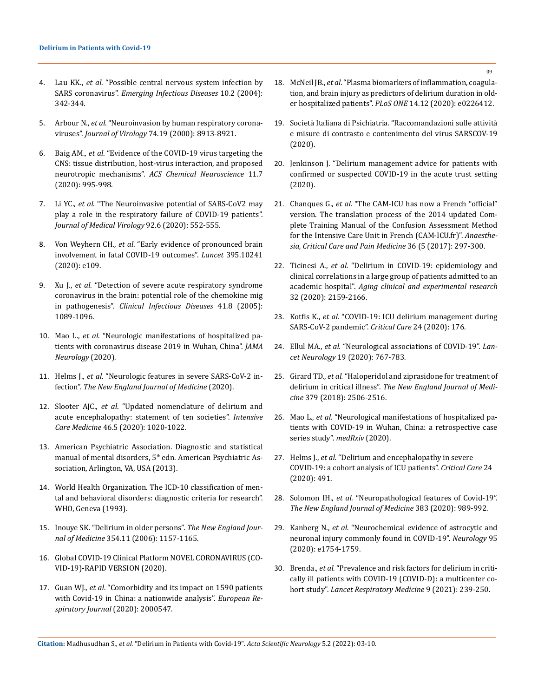- 4. Lau KK., *et al*[. "Possible central nervous system infection by](https://pubmed.ncbi.nlm.nih.gov/15030709/)  SARS coronavirus". *[Emerging Infectious Diseases](https://pubmed.ncbi.nlm.nih.gov/15030709/)* 10.2 (2004): [342-344.](https://pubmed.ncbi.nlm.nih.gov/15030709/)
- 5. Arbour N., *et al*[. "Neuroinvasion by human respiratory corona](https://pubmed.ncbi.nlm.nih.gov/10982334/)viruses". *Journal of Virology* [74.19 \(2000\): 8913-8921.](https://pubmed.ncbi.nlm.nih.gov/10982334/)
- 6. Baig AM., *et al*[. "Evidence of the COVID-19 virus targeting the](https://pubmed.ncbi.nlm.nih.gov/32167747/)  [CNS: tissue distribution, host-virus interaction, and proposed](https://pubmed.ncbi.nlm.nih.gov/32167747/)  neurotropic mechanisms". *[ACS Chemical Neuroscience](https://pubmed.ncbi.nlm.nih.gov/32167747/)* 11.7 [\(2020\): 995-998.](https://pubmed.ncbi.nlm.nih.gov/32167747/)
- 7. Li YC., *et al*[. "The Neuroinvasive potential of SARS-CoV2 may](https://pubmed.ncbi.nlm.nih.gov/32104915/)  [play a role in the respiratory failure of COVID-19 patients".](https://pubmed.ncbi.nlm.nih.gov/32104915/)  *[Journal of Medical Virology](https://pubmed.ncbi.nlm.nih.gov/32104915/)* 92.6 (2020): 552-555.
- 8. Von Weyhern CH., *et al*[. "Early evidence of pronounced brain](https://pubmed.ncbi.nlm.nih.gov/32505222/)  [involvement in fatal COVID-19 outcomes".](https://pubmed.ncbi.nlm.nih.gov/32505222/) *Lancet* 395.10241 [\(2020\): e109.](https://pubmed.ncbi.nlm.nih.gov/32505222/)
- 9. Xu J., *et al*[. "Detection of severe acute respiratory syndrome](https://pubmed.ncbi.nlm.nih.gov/16163626/)  [coronavirus in the brain: potential role of the chemokine mig](https://pubmed.ncbi.nlm.nih.gov/16163626/)  in pathogenesis". *[Clinical Infectious Diseases](https://pubmed.ncbi.nlm.nih.gov/16163626/)* 41.8 (2005): [1089-1096.](https://pubmed.ncbi.nlm.nih.gov/16163626/)
- 10. Mao L., *et al*[. "Neurologic manifestations of hospitalized pa](https://pubmed.ncbi.nlm.nih.gov/32275288/)[tients with coronavirus disease 2019 in Wuhan, China".](https://pubmed.ncbi.nlm.nih.gov/32275288/) *JAMA [Neurology](https://pubmed.ncbi.nlm.nih.gov/32275288/)* (2020).
- 11. Helms J., *et al*[. "Neurologic features in severe SARS-CoV-2 in](https://pubmed.ncbi.nlm.nih.gov/32294339/)fection". *[The New England Journal of Medicine](https://pubmed.ncbi.nlm.nih.gov/32294339/)* (2020).
- 12. Slooter AJC., *et al*[. "Updated nomenclature of delirium and](https://pubmed.ncbi.nlm.nih.gov/32055887/)  [acute encephalopathy: statement of ten societies".](https://pubmed.ncbi.nlm.nih.gov/32055887/) *Intensive Care Medicine* [46.5 \(2020\): 1020-1022.](https://pubmed.ncbi.nlm.nih.gov/32055887/)
- 13. [American Psychiatric Association. Diagnostic and statistical](https://www.psychiatry.org/psychiatrists/practice/dsm)  manual of mental disorders, 5<sup>th</sup> edn. American Psychiatric As[sociation, Arlington, VA, USA \(2013\).](https://www.psychiatry.org/psychiatrists/practice/dsm)
- 14. [World Health Organization. The ICD-10 classification of men](https://www.who.int/classifications/icd/en/GRNBOOK.pdf)[tal and behavioral disorders: diagnostic criteria for research".](https://www.who.int/classifications/icd/en/GRNBOOK.pdf)  [WHO, Geneva \(1993\).](https://www.who.int/classifications/icd/en/GRNBOOK.pdf)
- 15. [Inouye SK. "Delirium in older persons".](https://pubmed.ncbi.nlm.nih.gov/16540616/) *The New England Journal of Medicine* [354.11 \(2006\): 1157-1165.](https://pubmed.ncbi.nlm.nih.gov/16540616/)
- 16. [Global COVID-19 Clinical Platform NOVEL CORONAVIRUS \(CO-](https://apps.who.int/iris/handle/10665/331768)[VID-19\)-RAPID VERSION \(2020\).](https://apps.who.int/iris/handle/10665/331768)
- 17. Guan WJ., *et al*[. "Comorbidity and its impact on 1590 patients](https://www.ncbi.nlm.nih.gov/pmc/articles/PMC7098485/)  [with Covid-19 in China: a nationwide analysis".](https://www.ncbi.nlm.nih.gov/pmc/articles/PMC7098485/) *European Re[spiratory Journal](https://www.ncbi.nlm.nih.gov/pmc/articles/PMC7098485/)* (2020): 2000547.
- 18. McNeil JB., *et al*[. "Plasma biomarkers of inflammation, coagula](https://pubmed.ncbi.nlm.nih.gov/31856187/)[tion, and brain injury as predictors of delirium duration in old](https://pubmed.ncbi.nlm.nih.gov/31856187/)er hospitalized patients". *PLoS ONE* [14.12 \(2020\): e0226412.](https://pubmed.ncbi.nlm.nih.gov/31856187/)
- 19. [Società Italiana di Psichiatria. "Raccomandazioni sulle attività](https://www.evidence-based-psychiatric-care.org/wp-content/uploads/2020/04/SARS-COV-19_Suppl_Speciale_Rivista_SIP_ita.pdf.pdf)  [e misure di contrasto e contenimento del virus SARSCOV-19](https://www.evidence-based-psychiatric-care.org/wp-content/uploads/2020/04/SARS-COV-19_Suppl_Speciale_Rivista_SIP_ita.pdf.pdf)  [\(2020\).](https://www.evidence-based-psychiatric-care.org/wp-content/uploads/2020/04/SARS-COV-19_Suppl_Speciale_Rivista_SIP_ita.pdf.pdf)
- 20. [Jenkinson J. "Delirium management advice for patients with](https://www.rcpsych.ac.uk/docs/default-source/members/faculties/old-age/covid-19-delirium-management-guidance.pdf?sfvrsn=2d5c6e63_4)  [confirmed or suspected COVID-19 in the acute trust setting](https://www.rcpsych.ac.uk/docs/default-source/members/faculties/old-age/covid-19-delirium-management-guidance.pdf?sfvrsn=2d5c6e63_4)  [\(2020\).](https://www.rcpsych.ac.uk/docs/default-source/members/faculties/old-age/covid-19-delirium-management-guidance.pdf?sfvrsn=2d5c6e63_4)
- 21. Chanques G., *et al.* ["The CAM-ICU has now a French "official"](https://pubmed.ncbi.nlm.nih.gov/28365244/)  [version. The translation process of the 2014 updated Com](https://pubmed.ncbi.nlm.nih.gov/28365244/)[plete Training Manual of the Confusion Assessment Method](https://pubmed.ncbi.nlm.nih.gov/28365244/)  [for the Intensive Care Unit in French \(CAM-ICU.fr\)".](https://pubmed.ncbi.nlm.nih.gov/28365244/) *Anaesthe[sia, Critical Care and Pain Medicine](https://pubmed.ncbi.nlm.nih.gov/28365244/)* 36 (5 (2017): 297-300.
- 22. Ticinesi A., *et al.* ["Delirium in COVID-19: epidemiology and](https://www.ncbi.nlm.nih.gov/pmc/articles/PMC7498987/)  [clinical correlations in a large group of patients admitted to an](https://www.ncbi.nlm.nih.gov/pmc/articles/PMC7498987/)  academic hospital". *[Aging clinical and experimental research](https://www.ncbi.nlm.nih.gov/pmc/articles/PMC7498987/)*  [32 \(2020\): 2159-2166.](https://www.ncbi.nlm.nih.gov/pmc/articles/PMC7498987/)
- 23. Kotfis K., *et al.* ["COVID-19: ICU delirium management during](https://pubmed.ncbi.nlm.nih.gov/32419438/)  [SARS-CoV-2 pandemic".](https://pubmed.ncbi.nlm.nih.gov/32419438/) *Critical Care* 24 (2020): 176.
- 24. Ellul MA., *et al.* ["Neurological associations of COVID-19".](https://pubmed.ncbi.nlm.nih.gov/32622375/) *Lancet Neurology* [19 \(2020\): 767-783.](https://pubmed.ncbi.nlm.nih.gov/32622375/)
- 25. Girard TD., *et al.* ["Haloperidol and ziprasidone for treatment of](https://www.nejm.org/doi/full/10.1056/NEJMoa1808217)  delirium in critical illness". *[The New England Journal of Medi](https://www.nejm.org/doi/full/10.1056/NEJMoa1808217)cine* [379 \(2018\): 2506-2516.](https://www.nejm.org/doi/full/10.1056/NEJMoa1808217)
- 26. Mao L., *et al.* ["Neurological manifestations of hospitalized pa](https://www.medrxiv.org/content/10.1101/2020.02.22.20026500v1)[tients with COVID-19 in Wuhan, China: a retrospective case](https://www.medrxiv.org/content/10.1101/2020.02.22.20026500v1)  [series study".](https://www.medrxiv.org/content/10.1101/2020.02.22.20026500v1) *medRxiv* (2020).
- 27. Helms J., *et al.* ["Delirium and encephalopathy in severe](https://ccforum.biomedcentral.com/articles/10.1186/s13054-020-03200-1)  [COVID-19: a cohort analysis of ICU patients".](https://ccforum.biomedcentral.com/articles/10.1186/s13054-020-03200-1) *Critical Care* 24 [\(2020\): 491.](https://ccforum.biomedcentral.com/articles/10.1186/s13054-020-03200-1)
- 28. Solomon IH., *et al.* ["Neuropathological features of Covid-19".](https://pubmed.ncbi.nlm.nih.gov/32530583/)  *[The New England Journal of Medicine](https://pubmed.ncbi.nlm.nih.gov/32530583/)* 383 (2020): 989-992.
- 29. Kanberg N., *et al.* ["Neurochemical evidence of astrocytic and](https://pubmed.ncbi.nlm.nih.gov/32546655/)  [neuronal injury commonly found in COVID-19".](https://pubmed.ncbi.nlm.nih.gov/32546655/) *Neurology* 95 [\(2020\): e1754-1759.](https://pubmed.ncbi.nlm.nih.gov/32546655/)
- 30. Brenda., *et al.* ["Prevalence and risk factors for delirium in criti](https://pubmed.ncbi.nlm.nih.gov/33428871/)[cally ill patients with COVID-19 \(COVID-D\): a multicenter co](https://pubmed.ncbi.nlm.nih.gov/33428871/)hort study". *[Lancet Respiratory Medicine](https://pubmed.ncbi.nlm.nih.gov/33428871/)* 9 (2021): 239-250.

**Citation:** Madhusudhan S*., et al.* "Delirium in Patients with Covid-19". *Acta Scientific Neurology* 5.2 (2022): 03-10.

09